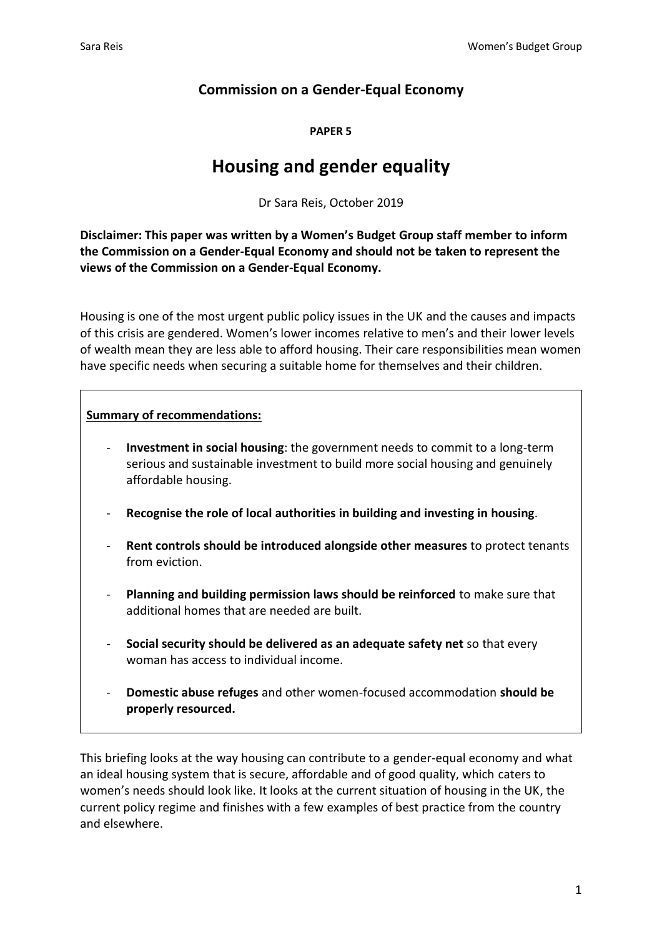# **Commission on a Gender-Equal Economy**

#### **PAPER 5**

# **Housing and gender equality**

Dr Sara Reis, October 2019

**Disclaimer: This paper was written by a Women's Budget Group staff member to inform the Commission on a Gender-Equal Economy and should not be taken to represent the views of the Commission on a Gender-Equal Economy.**

Housing is one of the most urgent public policy issues in the UK and the causes and impacts of this crisis are gendered. Women's lower incomes relative to men's and their lower levels of wealth mean they are less able to afford housing. Their care responsibilities mean women have specific needs when securing a suitable home for themselves and their children.

# **Summary of recommendations:**

- **Investment in social housing**: the government needs to commit to a long-term serious and sustainable investment to build more social housing and genuinely affordable housing.
- **Recognise the role of local authorities in building and investing in housing**.
- **Rent controls should be introduced alongside other measures** to protect tenants from eviction.
- Planning and building permission laws should be reinforced to make sure that additional homes that are needed are built.
- **Social security should be delivered as an adequate safety net** so that every woman has access to individual income.
- **Domestic abuse refuges** and other women-focused accommodation **should be properly resourced.**

This briefing looks at the way housing can contribute to a gender-equal economy and what an ideal housing system that is secure, affordable and of good quality, which caters to women's needs should look like. It looks at the current situation of housing in the UK, the current policy regime and finishes with a few examples of best practice from the country and elsewhere.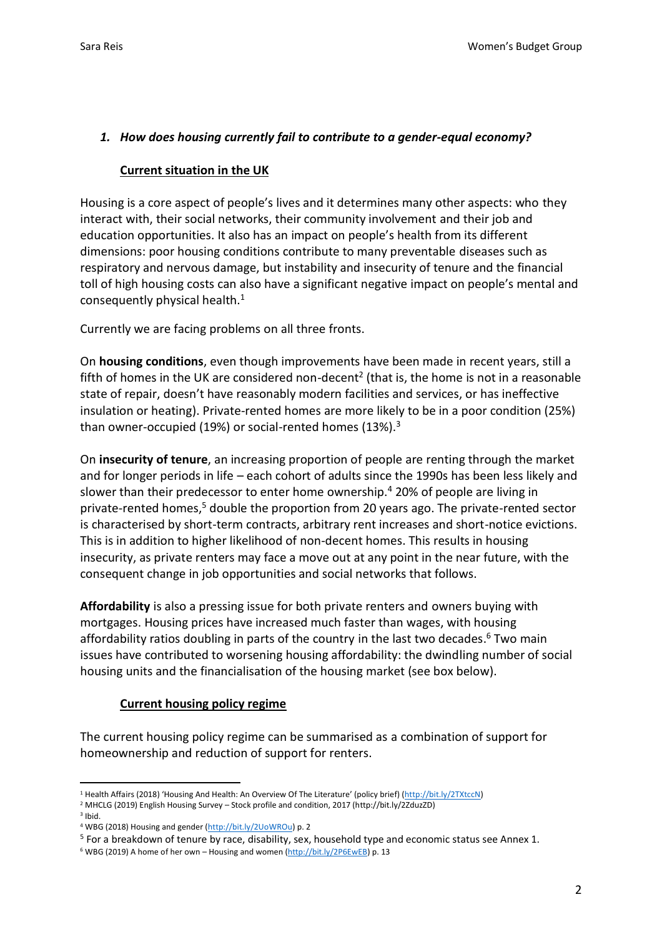# *1. How does housing currently fail to contribute to a gender-equal economy?*

## **Current situation in the UK**

Housing is a core aspect of people's lives and it determines many other aspects: who they interact with, their social networks, their community involvement and their job and education opportunities. It also has an impact on people's health from its different dimensions: poor housing conditions contribute to many preventable diseases such as respiratory and nervous damage, but instability and insecurity of tenure and the financial toll of high housing costs can also have a significant negative impact on people's mental and consequently physical health.<sup>1</sup>

Currently we are facing problems on all three fronts.

On **housing conditions**, even though improvements have been made in recent years, still a fifth of homes in the UK are considered non-decent<sup>2</sup> (that is, the home is not in a reasonable state of repair, doesn't have reasonably modern facilities and services, or has ineffective insulation or heating). Private-rented homes are more likely to be in a poor condition (25%) than owner-occupied (19%) or social-rented homes (13%).<sup>3</sup>

On **insecurity of tenure**, an increasing proportion of people are renting through the market and for longer periods in life – each cohort of adults since the 1990s has been less likely and slower than their predecessor to enter home ownership.<sup>4</sup> 20% of people are living in private-rented homes.<sup>5</sup> double the proportion from 20 years ago. The private-rented sector is characterised by short-term contracts, arbitrary rent increases and short-notice evictions. This is in addition to higher likelihood of non-decent homes. This results in housing insecurity, as private renters may face a move out at any point in the near future, with the consequent change in job opportunities and social networks that follows.

**Affordability** is also a pressing issue for both private renters and owners buying with mortgages. Housing prices have increased much faster than wages, with housing affordability ratios doubling in parts of the country in the last two decades. <sup>6</sup> Two main issues have contributed to worsening housing affordability: the dwindling number of social housing units and the financialisation of the housing market (see box below).

## **Current housing policy regime**

The current housing policy regime can be summarised as a combination of support for homeownership and reduction of support for renters.

<sup>&</sup>lt;sup>1</sup> Health Affairs (2018) 'Housing And Health: An Overview Of The Literature' (policy brief) ([http://bit.ly/2TXtccN\)](http://bit.ly/2TXtccN)

<sup>2</sup> MHCLG (2019) English Housing Survey – Stock profile and condition, 2017 (http://bit.ly/2ZduzZD) 3 Ibid.

<sup>4</sup> WBG (2018) Housing and gender [\(http://bit.ly/2UoWROu\)](http://bit.ly/2UoWROu) p. 2

<sup>&</sup>lt;sup>5</sup> For a breakdown of tenure by race, disability, sex, household type and economic status see Annex 1.

<sup>6</sup> WBG (2019) A home of her own – Housing and women [\(http://bit.ly/2P6EwEB\)](http://bit.ly/2P6EwEB) p. 13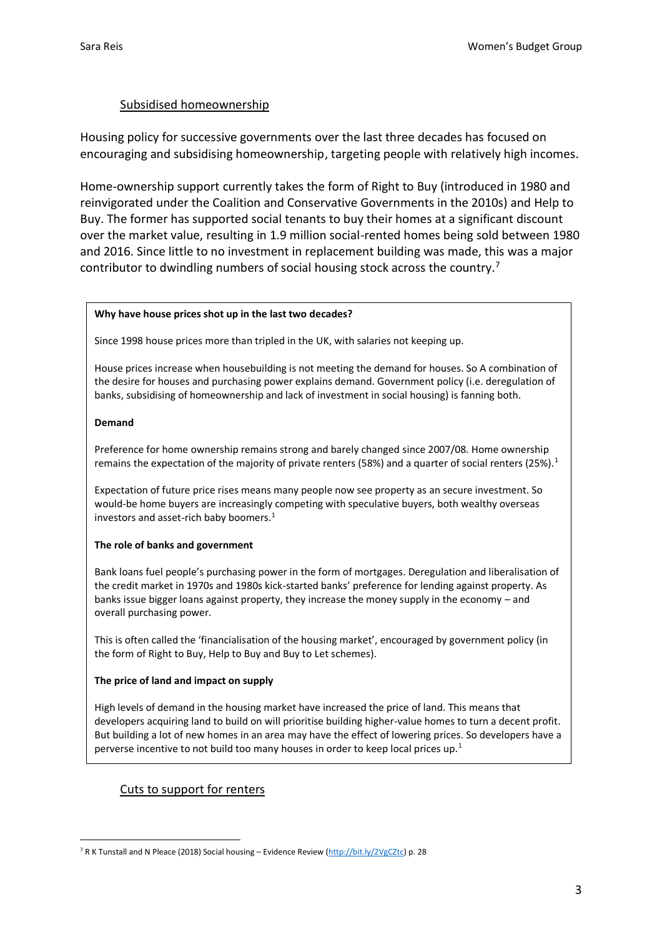#### Subsidised homeownership

Housing policy for successive governments over the last three decades has focused on encouraging and subsidising homeownership, targeting people with relatively high incomes.

Home-ownership support currently takes the form of Right to Buy (introduced in 1980 and reinvigorated under the Coalition and Conservative Governments in the 2010s) and Help to Buy. The former has supported social tenants to buy their homes at a significant discount over the market value, resulting in 1.9 million social-rented homes being sold between 1980 and 2016. Since little to no investment in replacement building was made, this was a major contributor to dwindling numbers of social housing stock across the country.<sup>7</sup>

#### **Why have house prices shot up in the last two decades?**

Since 1998 house prices more than tripled in the UK, with salaries not keeping up.

House prices increase when housebuilding is not meeting the demand for houses. So A combination of the desire for houses and purchasing power explains demand. Government policy (i.e. deregulation of banks, subsidising of homeownership and lack of investment in social housing) is fanning both.

#### **Demand**

Preference for home ownership remains strong and barely changed since 2007/08. Home ownership remains the expectation of the majority of private renters (58%) and a quarter of social renters (25%).<sup>1</sup>

Expectation of future price rises means many people now see property as an secure investment. So would-be home buyers are increasingly competing with speculative buyers, both wealthy overseas investors and asset-rich baby boomers.<sup>1</sup>

#### **The role of banks and government**

Bank loans fuel people's purchasing power in the form of mortgages. Deregulation and liberalisation of the credit market in 1970s and 1980s kick-started banks' preference for lending against property. As banks issue bigger loans against property, they increase the money supply in the economy – and overall purchasing power.

This is often called the 'financialisation of the housing market', encouraged by government policy (in the form of Right to Buy, Help to Buy and Buy to Let schemes).

#### **The price of land and impact on supply**

High levels of demand in the housing market have increased the price of land. This means that developers acquiring land to build on will prioritise building higher-value homes to turn a decent profit. But building a lot of new homes in an area may have the effect of lowering prices. So developers have a perverse incentive to not build too many houses in order to keep local prices up.<sup>1</sup>

## Cuts to support for renters

<sup>7</sup> R K Tunstall and N Pleace (2018) Social housing – Evidence Review [\(http://bit.ly/2VgCZtc\)](http://bit.ly/2VgCZtc) p. 28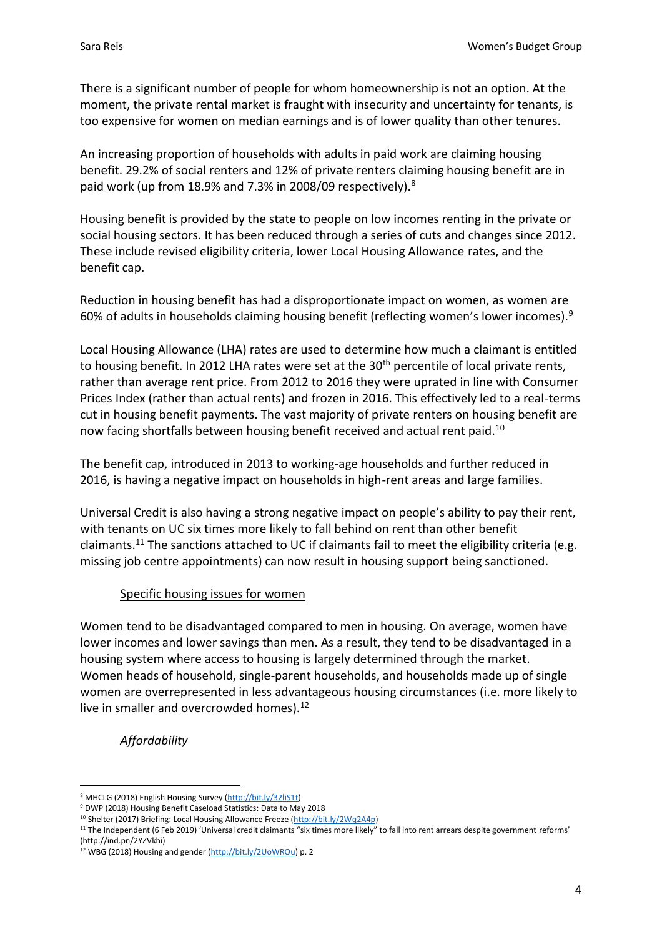There is a significant number of people for whom homeownership is not an option. At the moment, the private rental market is fraught with insecurity and uncertainty for tenants, is too expensive for women on median earnings and is of lower quality than other tenures.

An increasing proportion of households with adults in paid work are claiming housing benefit. 29.2% of social renters and 12% of private renters claiming housing benefit are in paid work (up from 18.9% and 7.3% in 2008/09 respectively).<sup>8</sup>

Housing benefit is provided by the state to people on low incomes renting in the private or social housing sectors. It has been reduced through a series of cuts and changes since 2012. These include revised eligibility criteria, lower Local Housing Allowance rates, and the benefit cap.

Reduction in housing benefit has had a disproportionate impact on women, as women are 60% of adults in households claiming housing benefit (reflecting women's lower incomes).<sup>9</sup>

Local Housing Allowance (LHA) rates are used to determine how much a claimant is entitled to housing benefit. In 2012 LHA rates were set at the 30<sup>th</sup> percentile of local private rents, rather than average rent price. From 2012 to 2016 they were uprated in line with Consumer Prices Index (rather than actual rents) and frozen in 2016. This effectively led to a real-terms cut in housing benefit payments. The vast majority of private renters on housing benefit are now facing shortfalls between housing benefit received and actual rent paid.<sup>10</sup>

The benefit cap, introduced in 2013 to working-age households and further reduced in 2016, is having a negative impact on households in high-rent areas and large families.

Universal Credit is also having a strong negative impact on people's ability to pay their rent, with tenants on UC six times more likely to fall behind on rent than other benefit claimants.<sup>11</sup> The sanctions attached to UC if claimants fail to meet the eligibility criteria (e.g. missing job centre appointments) can now result in housing support being sanctioned.

# Specific housing issues for women

Women tend to be disadvantaged compared to men in housing. On average, women have lower incomes and lower savings than men. As a result, they tend to be disadvantaged in a housing system where access to housing is largely determined through the market. Women heads of household, single-parent households, and households made up of single women are overrepresented in less advantageous housing circumstances (i.e. more likely to live in smaller and overcrowded homes). $12$ 

*Affordability*

<sup>8</sup> MHCLG (2018) English Housing Survey [\(http://bit.ly/32liS1t\)](http://bit.ly/32liS1t)

<sup>9</sup> DWP (2018) Housing Benefit Caseload Statistics: Data to May 2018

<sup>10</sup> Shelter (2017) Briefing: Local Housing Allowance Freeze [\(http://bit.ly/2Wq2A4p\)](http://bit.ly/2Wq2A4p) 

<sup>&</sup>lt;sup>11</sup> The Independent (6 Feb 2019) 'Universal credit claimants "six times more likely" to fall into rent arrears despite government reforms' (http://ind.pn/2YZVkhi)

<sup>12</sup> WBG (2018) Housing and gender [\(http://bit.ly/2UoWROu\)](http://bit.ly/2UoWROu) p. 2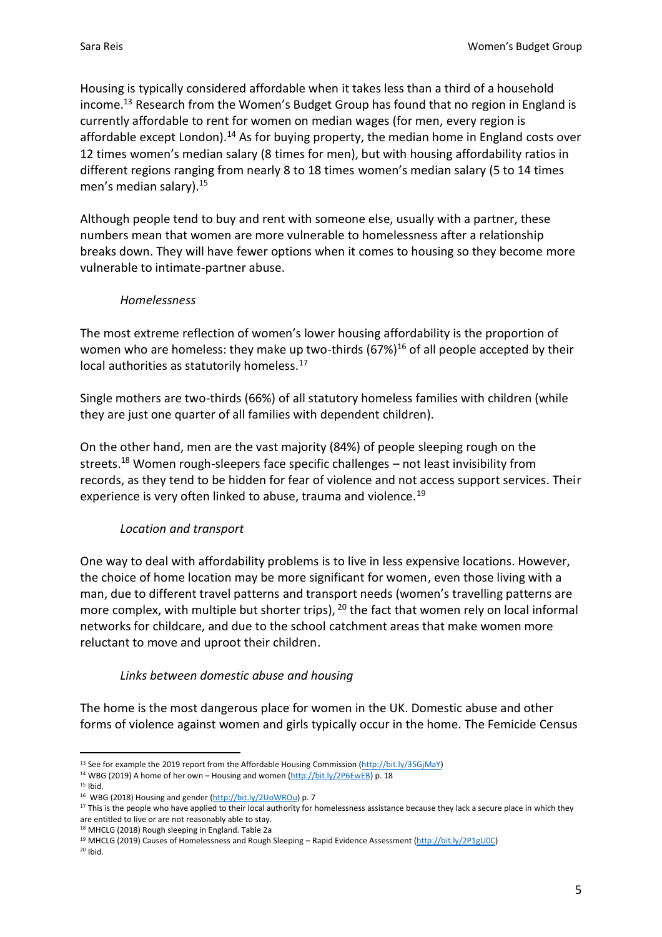Housing is typically considered affordable when it takes less than a third of a household income.<sup>13</sup> Research from the Women's Budget Group has found that no region in England is currently affordable to rent for women on median wages (for men, every region is affordable except London).<sup>14</sup> As for buying property, the median home in England costs over 12 times women's median salary (8 times for men), but with housing affordability ratios in different regions ranging from nearly 8 to 18 times women's median salary (5 to 14 times men's median salary).<sup>15</sup>

Although people tend to buy and rent with someone else, usually with a partner, these numbers mean that women are more vulnerable to homelessness after a relationship breaks down. They will have fewer options when it comes to housing so they become more vulnerable to intimate-partner abuse.

#### *Homelessness*

The most extreme reflection of women's lower housing affordability is the proportion of women who are homeless: they make up two-thirds  $(67%)^{16}$  of all people accepted by their local authorities as statutorily homeless.<sup>17</sup>

Single mothers are two-thirds (66%) of all statutory homeless families with children (while they are just one quarter of all families with dependent children).

On the other hand, men are the vast majority (84%) of people sleeping rough on the streets.<sup>18</sup> Women rough-sleepers face specific challenges – not least invisibility from records, as they tend to be hidden for fear of violence and not access support services. Their experience is very often linked to abuse, trauma and violence.<sup>19</sup>

## *Location and transport*

One way to deal with affordability problems is to live in less expensive locations. However, the choice of home location may be more significant for women, even those living with a man, due to different travel patterns and transport needs (women's travelling patterns are more complex, with multiple but shorter trips), <sup>20</sup> the fact that women rely on local informal networks for childcare, and due to the school catchment areas that make women more reluctant to move and uproot their children.

## *Links between domestic abuse and housing*

The home is the most dangerous place for women in the UK. Domestic abuse and other forms of violence against women and girls typically occur in the home. The Femicide Census

 $20$  Ibid.

<sup>&</sup>lt;sup>13</sup> See for example the 2019 report from the Affordable Housing Commission [\(http://bit.ly/35GjMaY\)](http://bit.ly/35GjMaY)

<sup>&</sup>lt;sup>14</sup> WBG (2019) A home of her own - Housing and women [\(http://bit.ly/2P6EwEB\)](http://bit.ly/2P6EwEB) p. 18

 $15$  Ibid.

<sup>16</sup> WBG (2018) Housing and gender [\(http://bit.ly/2UoWROu\)](http://bit.ly/2UoWROu) p. 7

<sup>&</sup>lt;sup>17</sup> This is the people who have applied to their local authority for homelessness assistance because they lack a secure place in which they are entitled to live or are not reasonably able to stay.

<sup>18</sup> MHCLG (2018) Rough sleeping in England. Table 2a

<sup>19</sup> MHCLG (2019) Causes of Homelessness and Rough Sleeping – Rapid Evidence Assessment [\(http://bit.ly/2P1gU0C\)](http://bit.ly/2P1gU0C)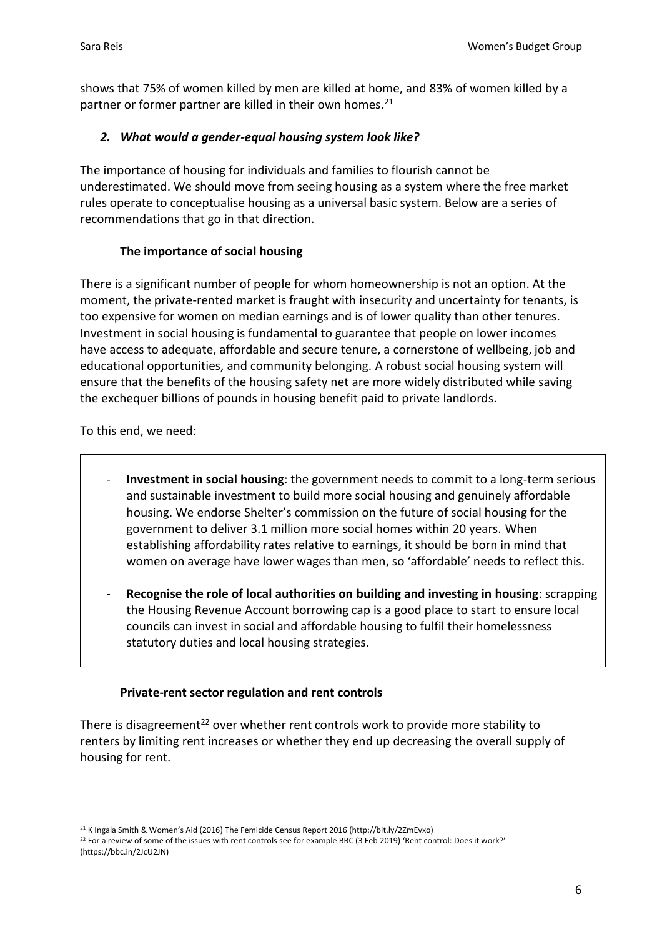shows that 75% of women killed by men are killed at home, and 83% of women killed by a partner or former partner are killed in their own homes.<sup>21</sup>

## *2. What would a gender-equal housing system look like?*

The importance of housing for individuals and families to flourish cannot be underestimated. We should move from seeing housing as a system where the free market rules operate to conceptualise housing as a universal basic system. Below are a series of recommendations that go in that direction.

# **The importance of social housing**

There is a significant number of people for whom homeownership is not an option. At the moment, the private-rented market is fraught with insecurity and uncertainty for tenants, is too expensive for women on median earnings and is of lower quality than other tenures. Investment in social housing is fundamental to guarantee that people on lower incomes have access to adequate, affordable and secure tenure, a cornerstone of wellbeing, job and educational opportunities, and community belonging. A robust social housing system will ensure that the benefits of the housing safety net are more widely distributed while saving the exchequer billions of pounds in housing benefit paid to private landlords.

To this end, we need:

- **Investment in social housing**: the government needs to commit to a long-term serious and sustainable investment to build more social housing and genuinely affordable housing. We endorse Shelter's commission on the future of social housing for the government to deliver 3.1 million more social homes within 20 years. When establishing affordability rates relative to earnings, it should be born in mind that women on average have lower wages than men, so 'affordable' needs to reflect this.
- **Recognise the role of local authorities on building and investing in housing**: scrapping the Housing Revenue Account borrowing cap is a good place to start to ensure local councils can invest in social and affordable housing to fulfil their homelessness statutory duties and local housing strategies.

## **Private-rent sector regulation and rent controls**

There is disagreement<sup>22</sup> over whether rent controls work to provide more stability to renters by limiting rent increases or whether they end up decreasing the overall supply of housing for rent.

<sup>21</sup> K Ingala Smith & Women's Aid (2016) The Femicide Census Report 2016 (http://bit.ly/2ZmEvxo)

 $22$  For a review of some of the issues with rent controls see for example BBC (3 Feb 2019) 'Rent control: Does it work?' (https://bbc.in/2JcU2JN)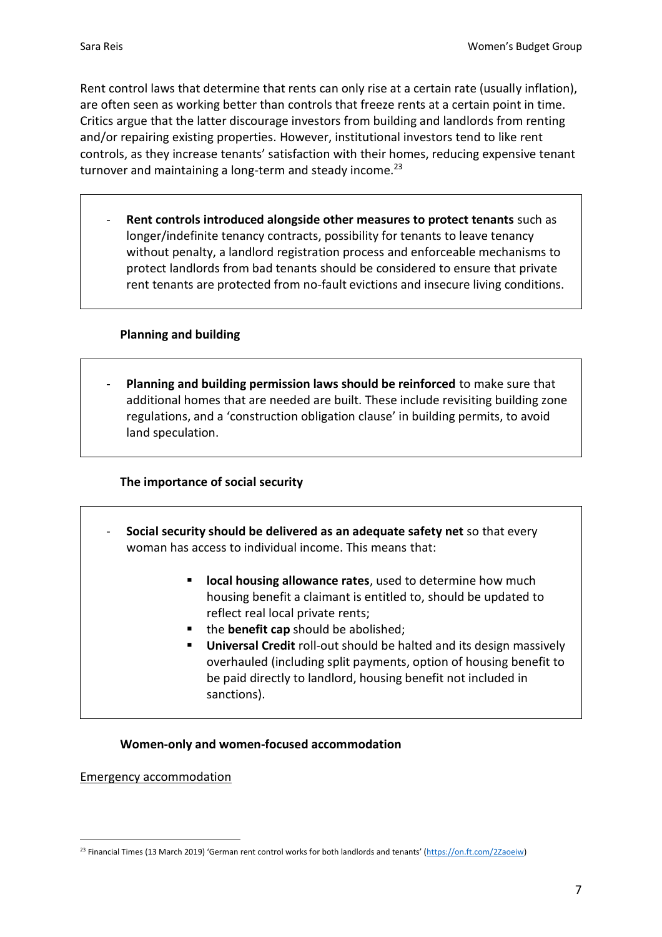Rent control laws that determine that rents can only rise at a certain rate (usually inflation), are often seen as working better than controls that freeze rents at a certain point in time. Critics argue that the latter discourage investors from building and landlords from renting and/or repairing existing properties. However, institutional investors tend to like rent controls, as they increase tenants' satisfaction with their homes, reducing expensive tenant turnover and maintaining a long-term and steady income.<sup>23</sup>

- **Rent controls introduced alongside other measures to protect tenants** such as longer/indefinite tenancy contracts, possibility for tenants to leave tenancy without penalty, a landlord registration process and enforceable mechanisms to protect landlords from bad tenants should be considered to ensure that private rent tenants are protected from no-fault evictions and insecure living conditions.

## **Planning and building**

- **Planning and building permission laws should be reinforced** to make sure that additional homes that are needed are built. These include revisiting building zone regulations, and a 'construction obligation clause' in building permits, to avoid land speculation.

## **The importance of social security**

- **Social security should be delivered as an adequate safety net** so that every woman has access to individual income. This means that:
	- **local housing allowance rates**, used to determine how much housing benefit a claimant is entitled to, should be updated to reflect real local private rents;
	- the **benefit cap** should be abolished:
	- **Universal Credit** roll-out should be halted and its design massively overhauled (including split payments, option of housing benefit to be paid directly to landlord, housing benefit not included in sanctions).

## **Women-only and women-focused accommodation**

Emergency accommodation

<sup>23</sup> Financial Times (13 March 2019) 'German rent control works for both landlords and tenants' ([https://on.ft.com/2Zaoeiw\)](https://on.ft.com/2Zaoeiw)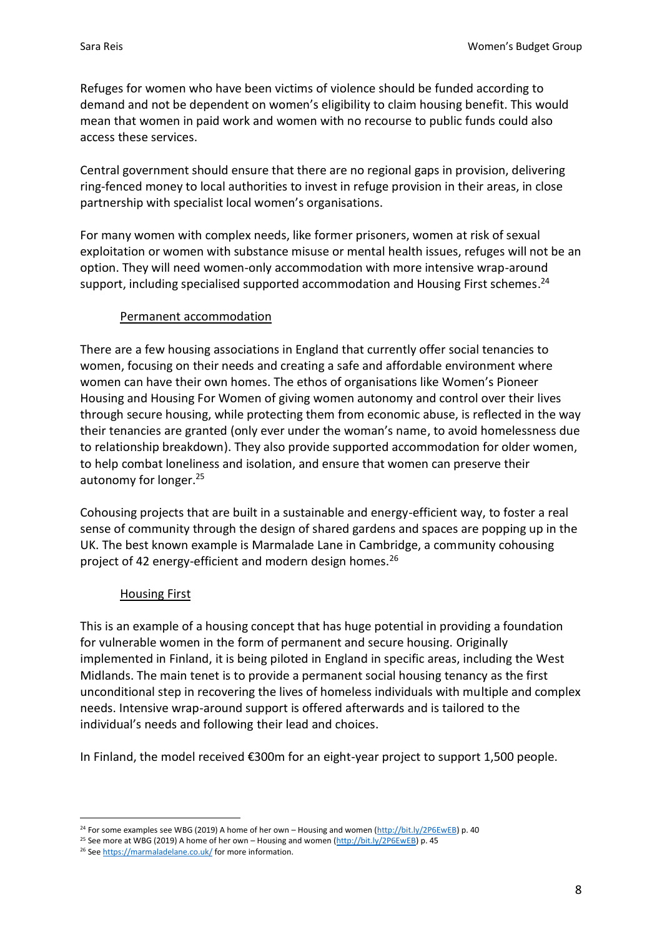Refuges for women who have been victims of violence should be funded according to demand and not be dependent on women's eligibility to claim housing benefit. This would mean that women in paid work and women with no recourse to public funds could also access these services.

Central government should ensure that there are no regional gaps in provision, delivering ring-fenced money to local authorities to invest in refuge provision in their areas, in close partnership with specialist local women's organisations.

For many women with complex needs, like former prisoners, women at risk of sexual exploitation or women with substance misuse or mental health issues, refuges will not be an option. They will need women-only accommodation with more intensive wrap-around support, including specialised supported accommodation and Housing First schemes.<sup>24</sup>

## Permanent accommodation

There are a few housing associations in England that currently offer social tenancies to women, focusing on their needs and creating a safe and affordable environment where women can have their own homes. The ethos of organisations like Women's Pioneer Housing and Housing For Women of giving women autonomy and control over their lives through secure housing, while protecting them from economic abuse, is reflected in the way their tenancies are granted (only ever under the woman's name, to avoid homelessness due to relationship breakdown). They also provide supported accommodation for older women, to help combat loneliness and isolation, and ensure that women can preserve their autonomy for longer.<sup>25</sup>

Cohousing projects that are built in a sustainable and energy-efficient way, to foster a real sense of community through the design of shared gardens and spaces are popping up in the UK. The best known example is Marmalade Lane in Cambridge, a community cohousing project of 42 energy-efficient and modern design homes.<sup>26</sup>

## Housing First

This is an example of a housing concept that has huge potential in providing a foundation for vulnerable women in the form of permanent and secure housing. Originally implemented in Finland, it is being piloted in England in specific areas, including the West Midlands. The main tenet is to provide a permanent social housing tenancy as the first unconditional step in recovering the lives of homeless individuals with multiple and complex needs. Intensive wrap-around support is offered afterwards and is tailored to the individual's needs and following their lead and choices.

In Finland, the model received €300m for an eight-year project to support 1,500 people.

<sup>&</sup>lt;sup>24</sup> For some examples see WBG (2019) A home of her own – Housing and women [\(http://bit.ly/2P6EwEB\)](http://bit.ly/2P6EwEB) p. 40

<sup>&</sup>lt;sup>25</sup> See more at WBG (2019) A home of her own – Housing and women [\(http://bit.ly/2P6EwEB\)](http://bit.ly/2P6EwEB) p. 45

<sup>26</sup> Se[e https://marmaladelane.co.uk/](https://marmaladelane.co.uk/) for more information.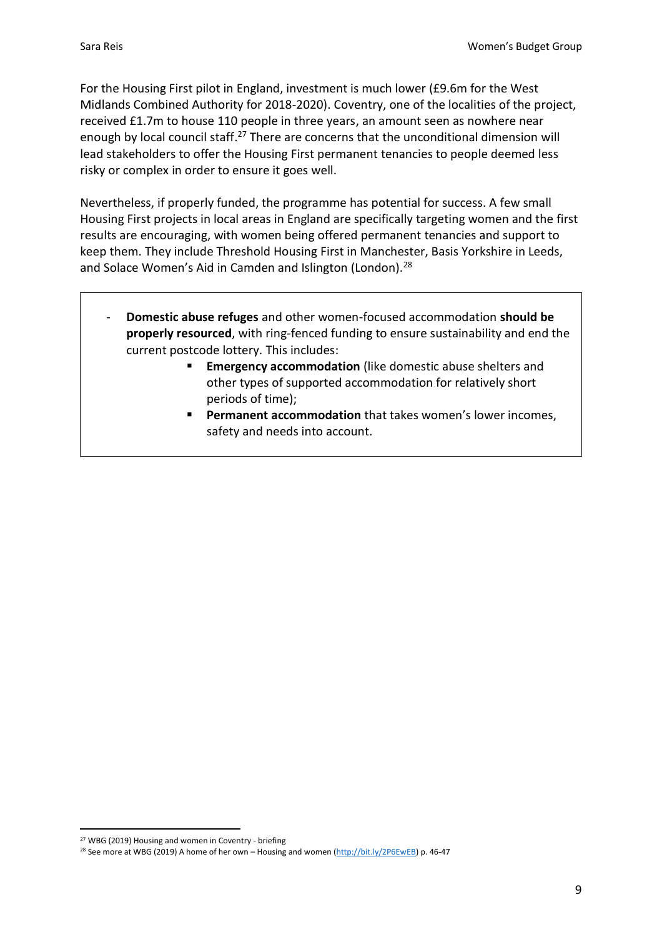For the Housing First pilot in England, investment is much lower (£9.6m for the West Midlands Combined Authority for 2018-2020). Coventry, one of the localities of the project, received £1.7m to house 110 people in three years, an amount seen as nowhere near enough by local council staff.<sup>27</sup> There are concerns that the unconditional dimension will lead stakeholders to offer the Housing First permanent tenancies to people deemed less risky or complex in order to ensure it goes well.

Nevertheless, if properly funded, the programme has potential for success. A few small Housing First projects in local areas in England are specifically targeting women and the first results are encouraging, with women being offered permanent tenancies and support to keep them. They include Threshold Housing First in Manchester, Basis Yorkshire in Leeds, and Solace Women's Aid in Camden and Islington (London).<sup>28</sup>

- **Domestic abuse refuges** and other women-focused accommodation **should be properly resourced**, with ring-fenced funding to ensure sustainability and end the current postcode lottery. This includes:
	- **Emergency accommodation** (like domestic abuse shelters and other types of supported accommodation for relatively short periods of time);
	- Permanent accommodation that takes women's lower incomes, safety and needs into account.

<sup>27</sup> WBG (2019) Housing and women in Coventry - briefing

<sup>&</sup>lt;sup>28</sup> See more at WBG (2019) A home of her own - Housing and women [\(http://bit.ly/2P6EwEB\)](http://bit.ly/2P6EwEB) p. 46-47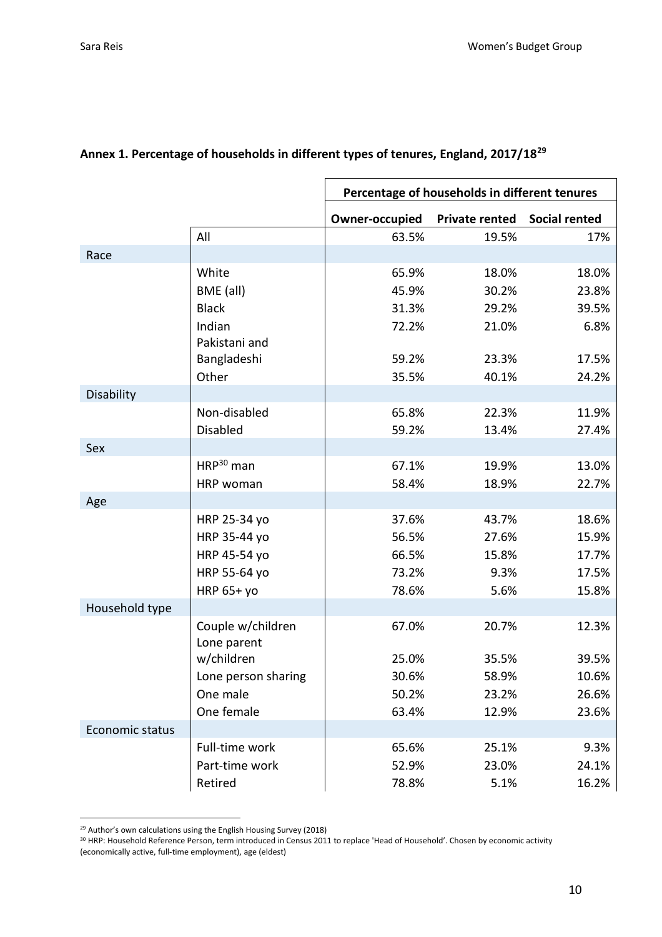|                 |                     | Percentage of households in different tenures |                       |                      |
|-----------------|---------------------|-----------------------------------------------|-----------------------|----------------------|
|                 |                     | Owner-occupied                                | <b>Private rented</b> | <b>Social rented</b> |
|                 | All                 | 63.5%                                         | 19.5%                 | 17%                  |
| Race            |                     |                                               |                       |                      |
|                 | White               | 65.9%                                         | 18.0%                 | 18.0%                |
|                 | BME (all)           | 45.9%                                         | 30.2%                 | 23.8%                |
|                 | <b>Black</b>        | 31.3%                                         | 29.2%                 | 39.5%                |
|                 | Indian              | 72.2%                                         | 21.0%                 | 6.8%                 |
|                 | Pakistani and       |                                               |                       |                      |
|                 | Bangladeshi         | 59.2%                                         | 23.3%                 | 17.5%                |
|                 | Other               | 35.5%                                         | 40.1%                 | 24.2%                |
| Disability      |                     |                                               |                       |                      |
|                 | Non-disabled        | 65.8%                                         | 22.3%                 | 11.9%                |
|                 | Disabled            | 59.2%                                         | 13.4%                 | 27.4%                |
| Sex             |                     |                                               |                       |                      |
|                 | $HRP^{30}$ man      | 67.1%                                         | 19.9%                 | 13.0%                |
|                 | HRP woman           | 58.4%                                         | 18.9%                 | 22.7%                |
| Age             |                     |                                               |                       |                      |
|                 | HRP 25-34 yo        | 37.6%                                         | 43.7%                 | 18.6%                |
|                 | HRP 35-44 yo        | 56.5%                                         | 27.6%                 | 15.9%                |
|                 | HRP 45-54 yo        | 66.5%                                         | 15.8%                 | 17.7%                |
|                 | HRP 55-64 yo        | 73.2%                                         | 9.3%                  | 17.5%                |
|                 | <b>HRP 65+ yo</b>   | 78.6%                                         | 5.6%                  | 15.8%                |
| Household type  |                     |                                               |                       |                      |
|                 | Couple w/children   | 67.0%                                         | 20.7%                 | 12.3%                |
|                 | Lone parent         |                                               |                       |                      |
|                 | w/children          | 25.0%                                         | 35.5%                 | 39.5%                |
|                 | Lone person sharing | 30.6%                                         | 58.9%                 | 10.6%                |
|                 | One male            | 50.2%                                         | 23.2%                 | 26.6%                |
|                 | One female          | 63.4%                                         | 12.9%                 | 23.6%                |
| Economic status |                     |                                               |                       |                      |
|                 | Full-time work      | 65.6%                                         | 25.1%                 | 9.3%                 |
|                 | Part-time work      | 52.9%                                         | 23.0%                 | 24.1%                |
|                 | Retired             | 78.8%                                         | 5.1%                  | 16.2%                |

# **Annex 1. Percentage of households in different types of tenures, England, 2017/18<sup>29</sup>**

<sup>&</sup>lt;sup>29</sup> Author's own calculations using the English Housing Survey (2018)

 $30$  HRP: Household Reference Person, term introduced in Census 2011 to replace 'Head of Household'. Chosen by economic activity (economically active, full-time employment), age (eldest)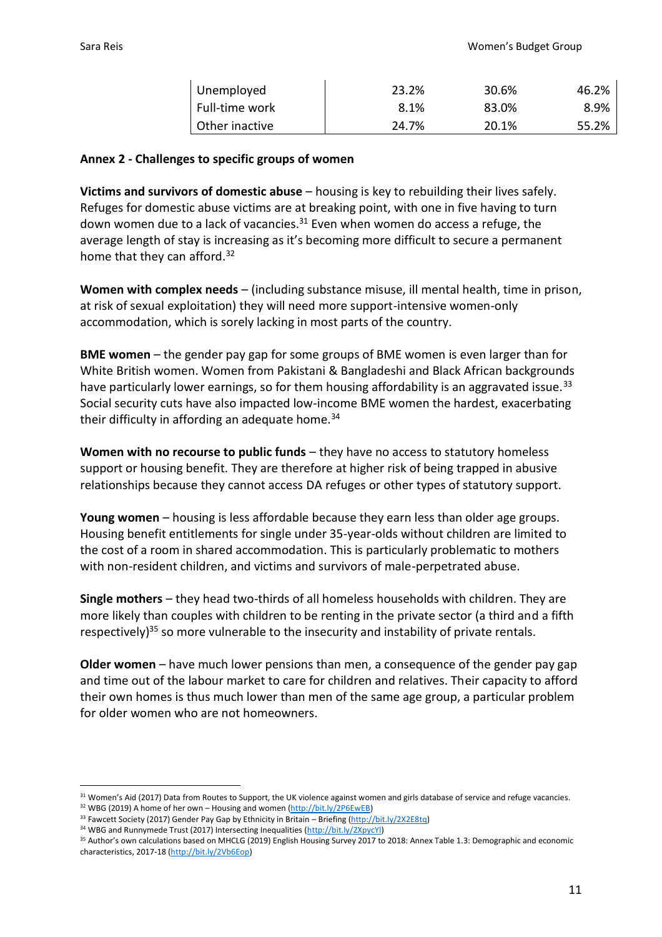| Unemployed     | 23.2% | 30.6% | 46.2% |
|----------------|-------|-------|-------|
| Full-time work | 8.1%  | 83.0% | 8.9%  |
| Other inactive | 24.7% | 20.1% | 55.2% |

#### **Annex 2 - Challenges to specific groups of women**

**Victims and survivors of domestic abuse** – housing is key to rebuilding their lives safely. Refuges for domestic abuse victims are at breaking point, with one in five having to turn down women due to a lack of vacancies. $31$  Even when women do access a refuge, the average length of stay is increasing as it's becoming more difficult to secure a permanent home that they can afford.<sup>32</sup>

**Women with complex needs** – (including substance misuse, ill mental health, time in prison, at risk of sexual exploitation) they will need more support-intensive women-only accommodation, which is sorely lacking in most parts of the country.

**BME women** – the gender pay gap for some groups of BME women is even larger than for White British women. Women from Pakistani & Bangladeshi and Black African backgrounds have particularly lower earnings, so for them housing affordability is an aggravated issue.<sup>33</sup> Social security cuts have also impacted low-income BME women the hardest, exacerbating their difficulty in affording an adequate home. $34$ 

**Women with no recourse to public funds** – they have no access to statutory homeless support or housing benefit. They are therefore at higher risk of being trapped in abusive relationships because they cannot access DA refuges or other types of statutory support.

**Young women** – housing is less affordable because they earn less than older age groups. Housing benefit entitlements for single under 35-year-olds without children are limited to the cost of a room in shared accommodation. This is particularly problematic to mothers with non-resident children, and victims and survivors of male-perpetrated abuse.

**Single mothers** – they head two-thirds of all homeless households with children. They are more likely than couples with children to be renting in the private sector (a third and a fifth respectively)<sup>35</sup> so more vulnerable to the insecurity and instability of private rentals.

**Older women** – have much lower pensions than men, a consequence of the gender pay gap and time out of the labour market to care for children and relatives. Their capacity to afford their own homes is thus much lower than men of the same age group, a particular problem for older women who are not homeowners.

<sup>&</sup>lt;sup>31</sup> Women's Aid (2017) Data from Routes to Support, the UK violence against women and girls database of service and refuge vacancies.

<sup>32</sup> WBG (2019) A home of her own - Housing and women [\(http://bit.ly/2P6EwEB\)](http://bit.ly/2P6EwEB)

<sup>33</sup> Fawcett Society (2017) Gender Pay Gap by Ethnicity in Britain – Briefing [\(http://bit.ly/2X2E8tq\)](http://bit.ly/2X2E8tq)

<sup>34</sup> WBG and Runnymede Trust (2017) Intersecting Inequalities [\(http://bit.ly/2XpycYl\)](http://bit.ly/2XpycYl)

<sup>&</sup>lt;sup>35</sup> Author's own calculations based on MHCLG (2019) English Housing Survey 2017 to 2018: Annex Table 1.3: Demographic and economic characteristics, 2017-18 [\(http://bit.ly/2Vb6Eop\)](http://bit.ly/2Vb6Eop)